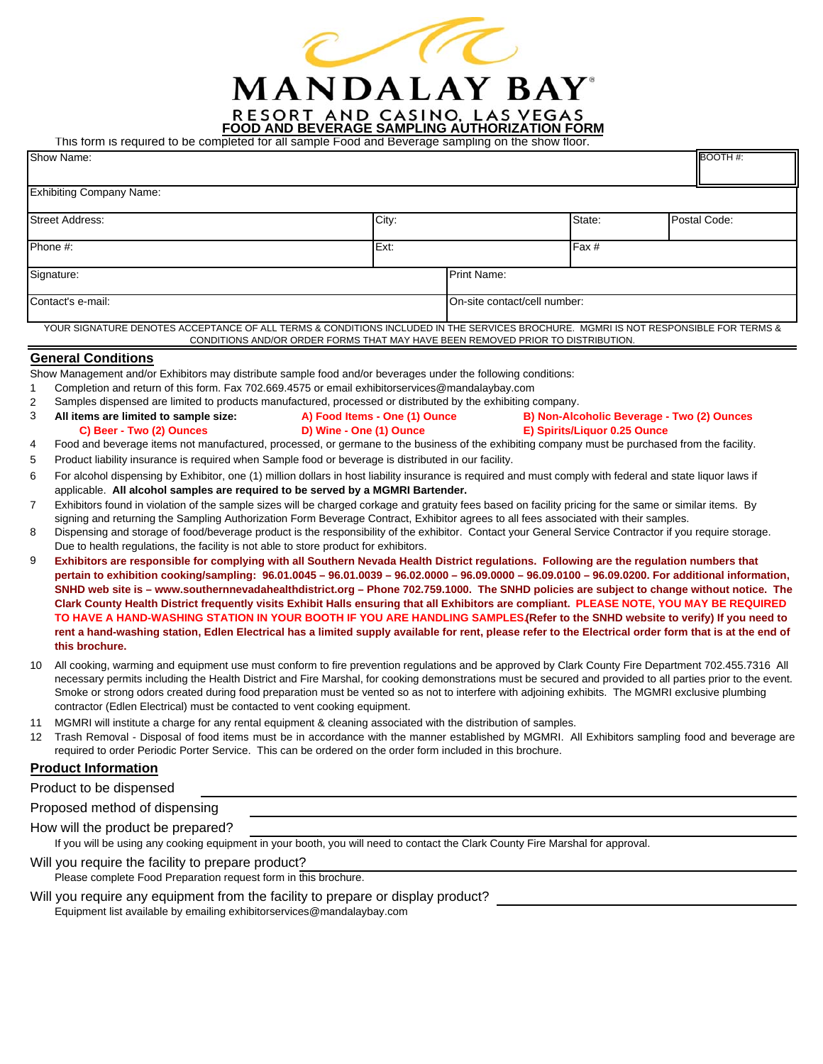

**FOOD AND BEVERAGE SAMPLING AUTHORIZATION FORM**

This form is required to be completed for all sample Food and Beverage sampling on the show floor.

| This form is required to be completed for all sample Food and beverage sampling on the show hoor.                                                                                                                                                  |                               |                              |                              |                                            |
|----------------------------------------------------------------------------------------------------------------------------------------------------------------------------------------------------------------------------------------------------|-------------------------------|------------------------------|------------------------------|--------------------------------------------|
| Show Name:                                                                                                                                                                                                                                         |                               |                              |                              | BOOTH#:                                    |
| <b>Exhibiting Company Name:</b>                                                                                                                                                                                                                    |                               |                              |                              |                                            |
| <b>Street Address:</b>                                                                                                                                                                                                                             | City:                         |                              | State:                       | Postal Code:                               |
| Phone #:                                                                                                                                                                                                                                           | Ext:                          |                              | Fax #                        |                                            |
| Signature:                                                                                                                                                                                                                                         |                               | Print Name:                  |                              |                                            |
| Contact's e-mail:                                                                                                                                                                                                                                  |                               | On-site contact/cell number: |                              |                                            |
| YOUR SIGNATURE DENOTES ACCEPTANCE OF ALL TERMS & CONDITIONS INCLUDED IN THE SERVICES BROCHURE. MGMRI IS NOT RESPONSIBLE FOR TERMS &<br>CONDITIONS AND/OR ORDER FORMS THAT MAY HAVE BEEN REMOVED PRIOR TO DISTRIBUTION.                             |                               |                              |                              |                                            |
| <b>General Conditions</b>                                                                                                                                                                                                                          |                               |                              |                              |                                            |
| Show Management and/or Exhibitors may distribute sample food and/or beverages under the following conditions:                                                                                                                                      |                               |                              |                              |                                            |
| Completion and return of this form. Fax 702.669.4575 or email exhibitorservices@mandalaybay.com<br>1                                                                                                                                               |                               |                              |                              |                                            |
| Samples dispensed are limited to products manufactured, processed or distributed by the exhibiting company.<br>$\overline{c}$                                                                                                                      |                               |                              |                              |                                            |
| 3<br>All items are limited to sample size:                                                                                                                                                                                                         | A) Food Items - One (1) Ounce |                              |                              | B) Non-Alcoholic Beverage - Two (2) Ounces |
| D) Wine - One (1) Ounce<br>C) Beer - Two (2) Ounces                                                                                                                                                                                                |                               |                              | E) Spirits/Liquor 0.25 Ounce |                                            |
| Food and beverage items not manufactured, processed, or germane to the business of the exhibiting company must be purchased from the facility.<br>4                                                                                                |                               |                              |                              |                                            |
| Product liability insurance is required when Sample food or beverage is distributed in our facility.<br>5                                                                                                                                          |                               |                              |                              |                                            |
| For alcohol dispensing by Exhibitor, one (1) million dollars in host liability insurance is required and must comply with federal and state liquor laws if<br>6<br>applicable. All alcohol samples are required to be served by a MGMRI Bartender. |                               |                              |                              |                                            |
| Exhibitors found in violation of the sample sizes will be charged corkage and gratuity fees based on facility pricing for the same or similar items. By<br>7                                                                                       |                               |                              |                              |                                            |
| signing and returning the Sampling Authorization Form Beverage Contract, Exhibitor agrees to all fees associated with their samples.                                                                                                               |                               |                              |                              |                                            |
| Dispensing and storage of food/beverage product is the responsibility of the exhibitor. Contact your General Service Contractor if you require storage.<br>8                                                                                       |                               |                              |                              |                                            |
| Due to health regulations, the facility is not able to store product for exhibitors.                                                                                                                                                               |                               |                              |                              |                                            |
| 9<br>Exhibitors are responsible for complying with all Southern Nevada Health District regulations. Following are the regulation numbers that                                                                                                      |                               |                              |                              |                                            |
| pertain to exhibition cooking/sampling: 96.01.0045 - 96.01.0039 - 96.02.0000 - 96.09.0000 - 96.09.0100 - 96.09.0200. For additional information,                                                                                                   |                               |                              |                              |                                            |
| SNHD web site is - www.southernnevadahealthdistrict.org - Phone 702.759.1000. The SNHD policies are subject to change without notice. The                                                                                                          |                               |                              |                              |                                            |
| Clark County Health District frequently visits Exhibit Halls ensuring that all Exhibitors are compliant. PLEASE NOTE, YOU MAY BE REQUIRED                                                                                                          |                               |                              |                              |                                            |
| TO HAVE A HAND-WASHING STATION IN YOUR BOOTH IF YOU ARE HANDLING SAMPLES (Refer to the SNHD website to verify) If you need to                                                                                                                      |                               |                              |                              |                                            |
| rent a hand-washing station, Edlen Electrical has a limited supply available for rent, please refer to the Electrical order form that is at the end of<br>this brochure.                                                                           |                               |                              |                              |                                            |
| All cooking, warming and equipment use must conform to fire prevention regulations and be approved by Clark County Fire Department 702.455.7316 All<br>10                                                                                          |                               |                              |                              |                                            |
| necessary permits including the Health District and Fire Marshal, for cooking demonstrations must be secured and provided to all parties prior to the event.                                                                                       |                               |                              |                              |                                            |
| Smoke or strong odors created during food preparation must be vented so as not to interfere with adjoining exhibits. The MGMRI exclusive plumbing                                                                                                  |                               |                              |                              |                                            |
| contractor (Edlen Electrical) must be contacted to vent cooking equipment.                                                                                                                                                                         |                               |                              |                              |                                            |
| MGMRI will institute a charge for any rental equipment & cleaning associated with the distribution of samples.<br>11                                                                                                                               |                               |                              |                              |                                            |
| 12 Trash Removal - Disposal of food items must be in accordance with the manner established by MGMRI. All Exhibitors sampling food and beverage are                                                                                                |                               |                              |                              |                                            |
| required to order Periodic Porter Service. This can be ordered on the order form included in this brochure.                                                                                                                                        |                               |                              |                              |                                            |
| <b>Product Information</b>                                                                                                                                                                                                                         |                               |                              |                              |                                            |
| Product to be dispensed                                                                                                                                                                                                                            |                               |                              |                              |                                            |
| Proposed method of dispensing                                                                                                                                                                                                                      |                               |                              |                              |                                            |
| How will the product be prepared?                                                                                                                                                                                                                  |                               |                              |                              |                                            |
| If you will be using any cooking equipment in your booth, you will need to contact the Clark County Fire Marshal for approval.                                                                                                                     |                               |                              |                              |                                            |

Will you require the facility to prepare product? Please complete Food Preparation request form in this brochure. Will you require any equipment from the facility to prepare or display product?

Equipment list available by emailing exhibitorservices@mandalaybay.com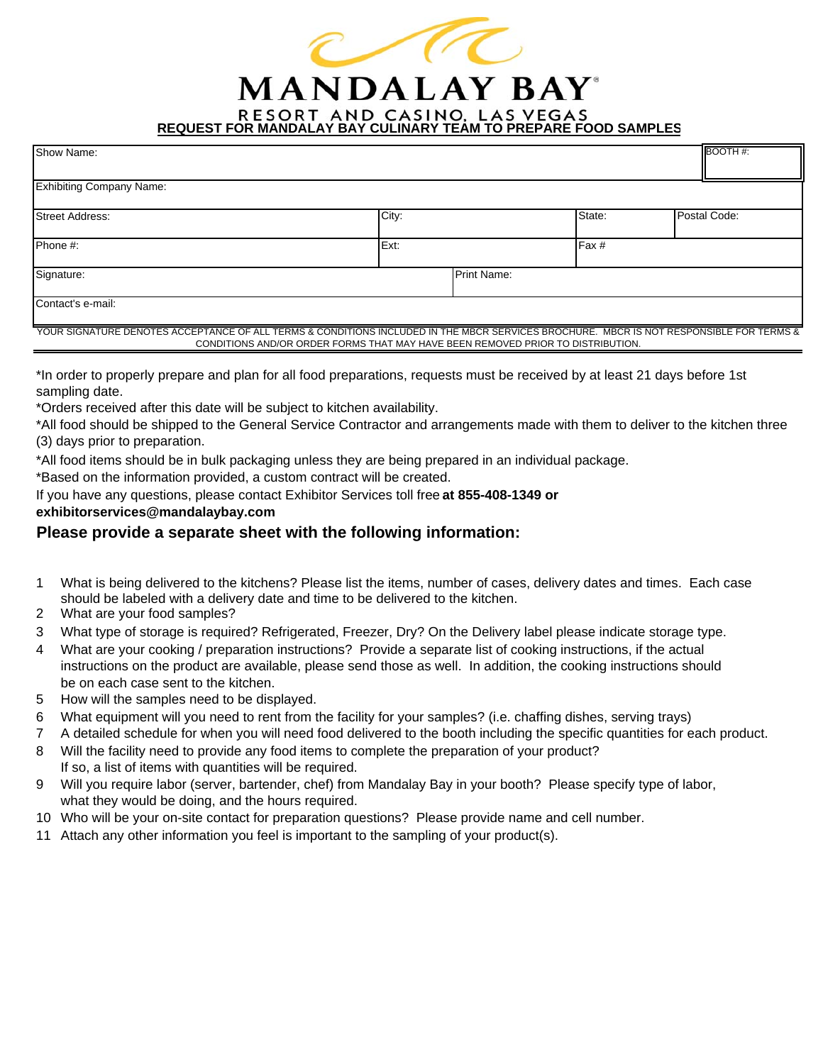

**RESORT AND CASINO, LAS VEGAS<br>REQUEST FOR MANDALAY BAY CULINARY TEAM TO PREPARE FOOD SAMPLES** 

| Show Name:                      |                                                                                                                                         |        | BOOTH#:      |
|---------------------------------|-----------------------------------------------------------------------------------------------------------------------------------------|--------|--------------|
| <b>Exhibiting Company Name:</b> |                                                                                                                                         |        |              |
| <b>Street Address:</b>          | City:                                                                                                                                   | State: | Postal Code: |
| Phone #:                        | Ext:                                                                                                                                    | Fax #  |              |
| Signature:                      | <b>Print Name:</b>                                                                                                                      |        |              |
| Contact's e-mail:               |                                                                                                                                         |        |              |
|                                 | YOUR SIGNATURE DENOTES ACCEPTANCE OF ALL TERMS & CONDITIONS INCLUDED IN THE MBCR SERVICES BROCHURE. MBCR IS NOT RESPONSIBLE FOR TERMS & |        |              |

\*In order to properly prepare and plan for all food preparations, requests must be received by at least 21 days before 1st

CONDITIONS AND/OR ORDER FORMS THAT MAY HAVE BEEN REMOVED PRIOR TO DISTRIBUTION.

sampling date.

\*Orders received after this date will be subject to kitchen availability.

\*All food should be shipped to the General Service Contractor and arrangements made with them to deliver to the kitchen three (3) days prior to preparation.

\*All food items should be in bulk packaging unless they are being prepared in an individual package.

\*Based on the information provided, a custom contract will be created.

If you have any questions, please contact Exhibitor Services toll free **at 855-408-1349 or** 

**exhibitorservices@mandalaybay.com**

## **Please provide a separate sheet with the following information:**

- 1 should be labeled with a delivery date and time to be delivered to the kitchen. What is being delivered to the kitchens? Please list the items, number of cases, delivery dates and times. Each case
- 2 What are your food samples?
- 3 What type of storage is required? Refrigerated, Freezer, Dry? On the Delivery label please indicate storage type.
- 4 What are your cooking / preparation instructions? Provide a separate list of cooking instructions, if the actual instructions on the product are available, please send those as well. In addition, the cooking instructions should be on each case sent to the kitchen.
- 5 How will the samples need to be displayed.
- 6 What equipment will you need to rent from the facility for your samples? (i.e. chaffing dishes, serving trays)
- 7 A detailed schedule for when you will need food delivered to the booth including the specific quantities for each product.
- 8 Will the facility need to provide any food items to complete the preparation of your product? If so, a list of items with quantities will be required.
- 9 Will you require labor (server, bartender, chef) from Mandalay Bay in your booth? Please specify type of labor, what they would be doing, and the hours required.
- 10 Who will be your on-site contact for preparation questions? Please provide name and cell number.
- 11 Attach any other information you feel is important to the sampling of your product(s).